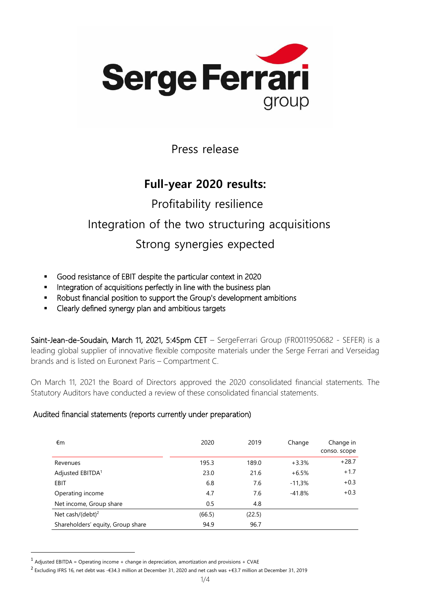

Press release

## **Full-year 2020 results:**

# Profitability resilience Integration of the two structuring acquisitions

#### Strong synergies expected

- Good resistance of EBIT despite the particular context in 2020
- **■** Integration of acquisitions perfectly in line with the business plan
- Robust financial position to support the Group's development ambitions
- Clearly defined synergy plan and ambitious targets

Saint-Jean-de-Soudain, March 11, 2021, 5:45pm CET – SergeFerrari Group (FR0011950682 - SEFER) is a leading global supplier of innovative flexible composite materials under the Serge Ferrari and Verseidag brands and is listed on Euronext Paris – Compartment C.

On March 11, 2021 the Board of Directors approved the 2020 consolidated financial statements. The Statutory Auditors have conducted a review of these consolidated financial statements.

#### Audited financial statements (reports currently under preparation)

| €m                                | 2020   | 2019   | Change   | Change in<br>conso. scope |
|-----------------------------------|--------|--------|----------|---------------------------|
| Revenues                          | 195.3  | 189.0  | $+3.3%$  | $+28.7$                   |
| Adjusted EBITDA <sup>1</sup>      | 23.0   | 21.6   | $+6.5%$  | $+1.7$                    |
| EBIT                              | 6.8    | 7.6    | $-11,3%$ | $+0.3$                    |
| Operating income                  | 4.7    | 7.6    | $-41.8%$ | $+0.3$                    |
| Net income, Group share           | 0.5    | 4.8    |          |                           |
| Net cash/(debt) <sup>2</sup>      | (66.5) | (22.5) |          |                           |
| Shareholders' equity, Group share | 94.9   | 96.7   |          |                           |

<sup>&</sup>lt;sup>1</sup> Adjusted EBITDA = Operating income + change in depreciation, amortization and provisions + CVAE

<sup>&</sup>lt;sup>2</sup> Excluding IFRS 16, net debt was -€34.3 million at December 31, 2020 and net cash was +€3.7 million at December 31, 2019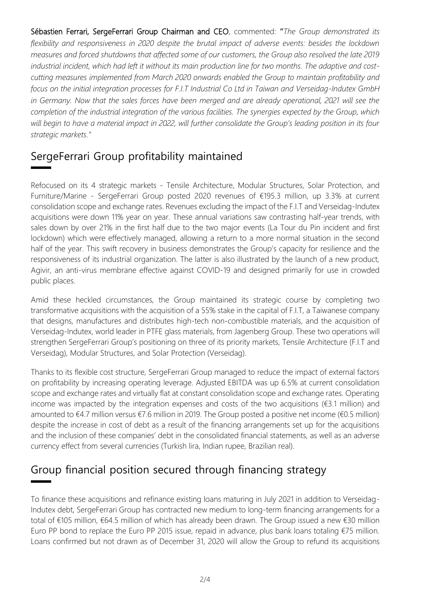Sébastien Ferrari, SergeFerrari Group Chairman and CEO, commented: "*The Group demonstrated its flexibility and responsiveness in 2020 despite the brutal impact of adverse events: besides the lockdown measures and forced shutdowns that affected some of our customers, the Group also resolved the late 2019 industrial incident, which had left it without its main production line for two months. The adaptive and costcutting measures implemented from March 2020 onwards enabled the Group to maintain profitability and focus on the initial integration processes for F.I.T Industrial Co Ltd in Taiwan and Verseidag-Indutex GmbH in Germany. Now that the sales forces have been merged and are already operational, 2021 will see the completion of the industrial integration of the various facilities. The synergies expected by the Group, which*  will begin to have a material impact in 2022, will further consolidate the Group's leading position in its four *strategic markets."*

#### SergeFerrari Group profitability maintained

Refocused on its 4 strategic markets - Tensile Architecture, Modular Structures, Solar Protection, and Furniture/Marine - SergeFerrari Group posted 2020 revenues of €195.3 million, up 3.3% at current consolidation scope and exchange rates. Revenues excluding the impact of the F.I.T and Verseidag-Indutex acquisitions were down 11% year on year. These annual variations saw contrasting half-year trends, with sales down by over 21% in the first half due to the two major events (La Tour du Pin incident and first lockdown) which were effectively managed, allowing a return to a more normal situation in the second half of the year. This swift recovery in business demonstrates the Group's capacity for resilience and the responsiveness of its industrial organization. The latter is also illustrated by the launch of a new product, Agivir, an anti-virus membrane effective against COVID-19 and designed primarily for use in crowded public places.

Amid these heckled circumstances, the Group maintained its strategic course by completing two transformative acquisitions with the acquisition of a 55% stake in the capital of F.I.T, a Taiwanese company that designs, manufactures and distributes high-tech non-combustible materials, and the acquisition of Verseidag-Indutex, world leader in PTFE glass materials, from Jagenberg Group. These two operations will strengthen SergeFerrari Group's positioning on three of its priority markets, Tensile Architecture (F.I.T and Verseidag), Modular Structures, and Solar Protection (Verseidag).

Thanks to its flexible cost structure, SergeFerrari Group managed to reduce the impact of external factors on profitability by increasing operating leverage. Adjusted EBITDA was up 6.5% at current consolidation scope and exchange rates and virtually flat at constant consolidation scope and exchange rates. Operating income was impacted by the integration expenses and costs of the two acquisitions ( $E3.1$  million) and amounted to €4.7 million versus €7.6 million in 2019. The Group posted a positive net income (€0.5 million) despite the increase in cost of debt as a result of the financing arrangements set up for the acquisitions and the inclusion of these companies' debt in the consolidated financial statements, as well as an adverse currency effect from several currencies (Turkish lira, Indian rupee, Brazilian real).

## Group financial position secured through financing strategy

To finance these acquisitions and refinance existing loans maturing in July 2021 in addition to Verseidag-Indutex debt, SergeFerrari Group has contracted new medium to long-term financing arrangements for a total of €105 million, €64.5 million of which has already been drawn. The Group issued a new €30 million Euro PP bond to replace the Euro PP 2015 issue, repaid in advance, plus bank loans totaling €75 million. Loans confirmed but not drawn as of December 31, 2020 will allow the Group to refund its acquisitions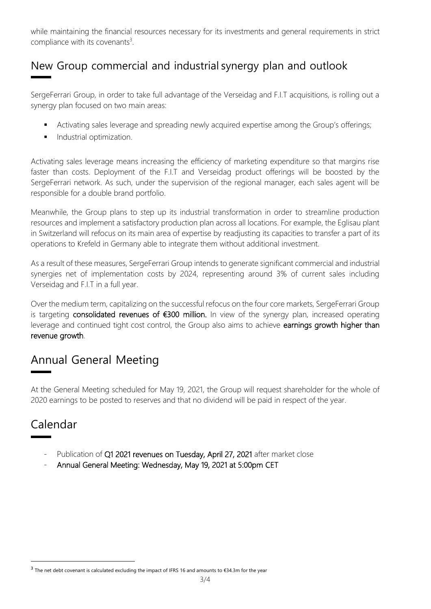while maintaining the financial resources necessary for its investments and general requirements in strict compliance with its covenants $3$ .

## New Group commercial and industrial synergy plan and outlook

SergeFerrari Group, in order to take full advantage of the Verseidag and F.I.T acquisitions, is rolling out a synergy plan focused on two main areas:

- **EXE** Activating sales leverage and spreading newly acquired expertise among the Group's offerings;
- **■** Industrial optimization.

Activating sales leverage means increasing the efficiency of marketing expenditure so that margins rise faster than costs. Deployment of the F.I.T and Verseidag product offerings will be boosted by the SergeFerrari network. As such, under the supervision of the regional manager, each sales agent will be responsible for a double brand portfolio.

Meanwhile, the Group plans to step up its industrial transformation in order to streamline production resources and implement a satisfactory production plan across all locations. For example, the Eglisau plant in Switzerland will refocus on its main area of expertise by readjusting its capacities to transfer a part of its operations to Krefeld in Germany able to integrate them without additional investment.

As a result of these measures, SergeFerrari Group intends to generate significant commercial and industrial synergies net of implementation costs by 2024, representing around 3% of current sales including Verseidag and F.I.T in a full year.

Over the medium term, capitalizing on the successful refocus on the four core markets, SergeFerrari Group is targeting consolidated revenues of €300 million. In view of the synergy plan, increased operating leverage and continued tight cost control, the Group also aims to achieve earnings growth higher than revenue growth.

## Annual General Meeting

At the General Meeting scheduled for May 19, 2021, the Group will request shareholder for the whole of 2020 earnings to be posted to reserves and that no dividend will be paid in respect of the year.

#### Calendar

- Publication of Q1 2021 revenues on Tuesday, April 27, 2021 after market close
- Annual General Meeting: Wednesday, May 19, 2021 at 5:00pm CET

<sup>&</sup>lt;sup>3</sup> The net debt covenant is calculated excluding the impact of IFRS 16 and amounts to €34.3m for the year